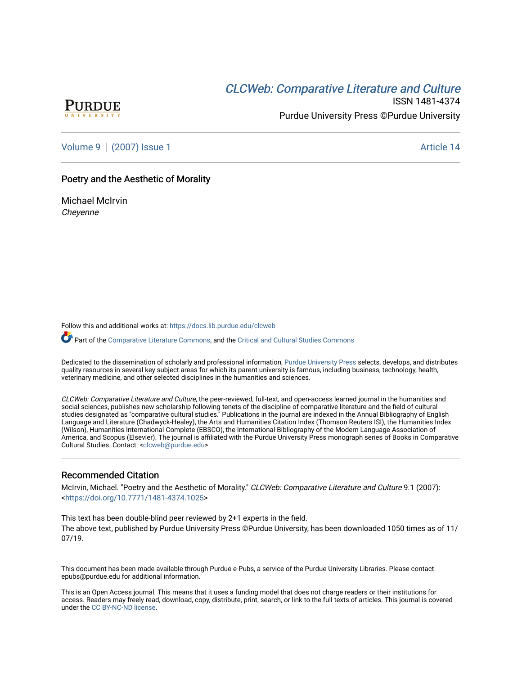# CLCW[eb: Comparative Liter](https://docs.lib.purdue.edu/clcweb)ature and Culture



ISSN 1481-4374 Purdue University Press ©Purdue University

[Volume 9](https://docs.lib.purdue.edu/clcweb/vol9) | [\(2007\) Issue 1](https://docs.lib.purdue.edu/clcweb/vol9/iss1) Article 14

## Poetry and the Aesthetic of Morality

Michael McIrvin **Chevenne** 

Follow this and additional works at: [https://docs.lib.purdue.edu/clcweb](https://docs.lib.purdue.edu/clcweb?utm_source=docs.lib.purdue.edu%2Fclcweb%2Fvol9%2Fiss1%2F14&utm_medium=PDF&utm_campaign=PDFCoverPages)

Part of the [Comparative Literature Commons,](http://network.bepress.com/hgg/discipline/454?utm_source=docs.lib.purdue.edu%2Fclcweb%2Fvol9%2Fiss1%2F14&utm_medium=PDF&utm_campaign=PDFCoverPages) and the Critical and Cultural Studies Commons

Dedicated to the dissemination of scholarly and professional information, [Purdue University Press](http://www.thepress.purdue.edu/) selects, develops, and distributes quality resources in several key subject areas for which its parent university is famous, including business, technology, health, veterinary medicine, and other selected disciplines in the humanities and sciences.

CLCWeb: Comparative Literature and Culture, the peer-reviewed, full-text, and open-access learned journal in the humanities and social sciences, publishes new scholarship following tenets of the discipline of comparative literature and the field of cultural studies designated as "comparative cultural studies." Publications in the journal are indexed in the Annual Bibliography of English Language and Literature (Chadwyck-Healey), the Arts and Humanities Citation Index (Thomson Reuters ISI), the Humanities Index (Wilson), Humanities International Complete (EBSCO), the International Bibliography of the Modern Language Association of America, and Scopus (Elsevier). The journal is affiliated with the Purdue University Press monograph series of Books in Comparative Cultural Studies. Contact: [<clcweb@purdue.edu](mailto:clcweb@purdue.edu)>

## Recommended Citation

McIrvin, Michael. "Poetry and the Aesthetic of Morality." CLCWeb: Comparative Literature and Culture 9.1 (2007): <<https://doi.org/10.7771/1481-4374.1025>>

This text has been double-blind peer reviewed by 2+1 experts in the field. The above text, published by Purdue University Press ©Purdue University, has been downloaded 1050 times as of 11/ 07/19.

This document has been made available through Purdue e-Pubs, a service of the Purdue University Libraries. Please contact epubs@purdue.edu for additional information.

This is an Open Access journal. This means that it uses a funding model that does not charge readers or their institutions for access. Readers may freely read, download, copy, distribute, print, search, or link to the full texts of articles. This journal is covered under the [CC BY-NC-ND license.](https://creativecommons.org/licenses/by-nc-nd/4.0/)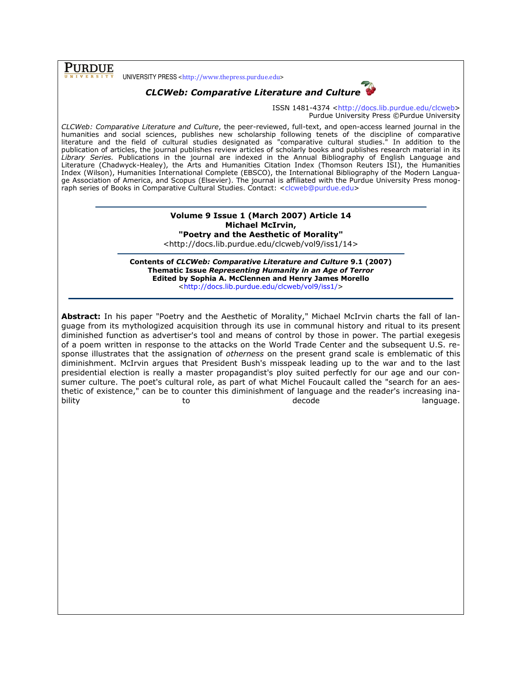**PURDUE** UNIVERSITY PRESS <http://www.thepress.purdue.edu>

# CLCWeb: Comparative Literature and Culture



ISSN 1481-4374 <http://docs.lib.purdue.edu/clcweb> Purdue University Press ©Purdue University

CLCWeb: Comparative Literature and Culture, the peer-reviewed, full-text, and open-access learned journal in the humanities and social sciences, publishes new scholarship following tenets of the discipline of comparative literature and the field of cultural studies designated as "comparative cultural studies." In addition to the publication of articles, the journal publishes review articles of scholarly books and publishes research material in its Library Series. Publications in the journal are indexed in the Annual Bibliography of English Language and Literature (Chadwyck-Healey), the Arts and Humanities Citation Index (Thomson Reuters ISI), the Humanities Index (Wilson), Humanities International Complete (EBSCO), the International Bibliography of the Modern Language Association of America, and Scopus (Elsevier). The journal is affiliated with the Purdue University Press monograph series of Books in Comparative Cultural Studies. Contact: <clcweb@purdue.edu>

#### Volume 9 Issue 1 (March 2007) Article 14 Michael McIrvin, "Poetry and the Aesthetic of Morality"

<http://docs.lib.purdue.edu/clcweb/vol9/iss1/14>

Contents of CLCWeb: Comparative Literature and Culture 9.1 (2007) Thematic Issue Representing Humanity in an Age of Terror Edited by Sophia A. McClennen and Henry James Morello <http://docs.lib.purdue.edu/clcweb/vol9/iss1/>

Abstract: In his paper "Poetry and the Aesthetic of Morality," Michael McIrvin charts the fall of language from its mythologized acquisition through its use in communal history and ritual to its present diminished function as advertiser's tool and means of control by those in power. The partial exegesis of a poem written in response to the attacks on the World Trade Center and the subsequent U.S. response illustrates that the assignation of otherness on the present grand scale is emblematic of this diminishment. McIrvin argues that President Bush's misspeak leading up to the war and to the last presidential election is really a master propagandist's ploy suited perfectly for our age and our consumer culture. The poet's cultural role, as part of what Michel Foucault called the "search for an aesthetic of existence," can be to counter this diminishment of language and the reader's increasing inability to to to decode the language.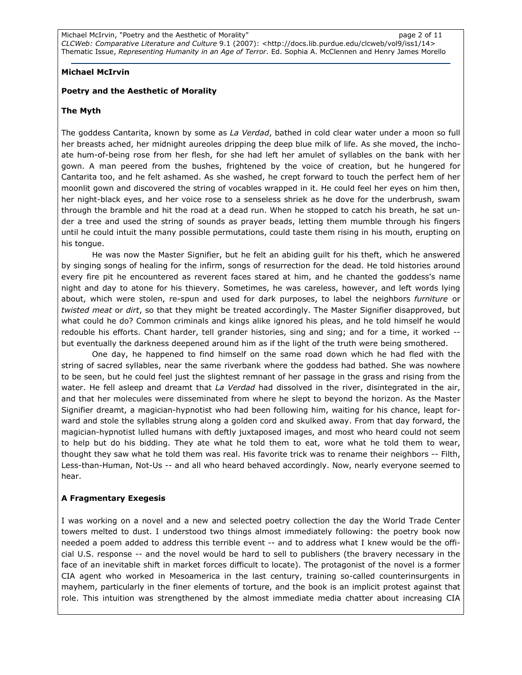# Michael McIrvin

# Poetry and the Aesthetic of Morality

# The Myth

The goddess Cantarita, known by some as La Verdad, bathed in cold clear water under a moon so full her breasts ached, her midnight aureoles dripping the deep blue milk of life. As she moved, the inchoate hum-of-being rose from her flesh, for she had left her amulet of syllables on the bank with her gown. A man peered from the bushes, frightened by the voice of creation, but he hungered for Cantarita too, and he felt ashamed. As she washed, he crept forward to touch the perfect hem of her moonlit gown and discovered the string of vocables wrapped in it. He could feel her eyes on him then, her night-black eyes, and her voice rose to a senseless shriek as he dove for the underbrush, swam through the bramble and hit the road at a dead run. When he stopped to catch his breath, he sat under a tree and used the string of sounds as prayer beads, letting them mumble through his fingers until he could intuit the many possible permutations, could taste them rising in his mouth, erupting on his tongue.

 He was now the Master Signifier, but he felt an abiding guilt for his theft, which he answered by singing songs of healing for the infirm, songs of resurrection for the dead. He told histories around every fire pit he encountered as reverent faces stared at him, and he chanted the goddess's name night and day to atone for his thievery. Sometimes, he was careless, however, and left words lying about, which were stolen, re-spun and used for dark purposes, to label the neighbors furniture or twisted meat or dirt, so that they might be treated accordingly. The Master Signifier disapproved, but what could he do? Common criminals and kings alike ignored his pleas, and he told himself he would redouble his efforts. Chant harder, tell grander histories, sing and sing; and for a time, it worked but eventually the darkness deepened around him as if the light of the truth were being smothered.

One day, he happened to find himself on the same road down which he had fled with the string of sacred syllables, near the same riverbank where the goddess had bathed. She was nowhere to be seen, but he could feel just the slightest remnant of her passage in the grass and rising from the water. He fell asleep and dreamt that La Verdad had dissolved in the river, disintegrated in the air, and that her molecules were disseminated from where he slept to beyond the horizon. As the Master Signifier dreamt, a magician-hypnotist who had been following him, waiting for his chance, leapt forward and stole the syllables strung along a golden cord and skulked away. From that day forward, the magician-hypnotist lulled humans with deftly juxtaposed images, and most who heard could not seem to help but do his bidding. They ate what he told them to eat, wore what he told them to wear, thought they saw what he told them was real. His favorite trick was to rename their neighbors -- Filth, Less-than-Human, Not-Us -- and all who heard behaved accordingly. Now, nearly everyone seemed to hear.

# A Fragmentary Exegesis

I was working on a novel and a new and selected poetry collection the day the World Trade Center towers melted to dust. I understood two things almost immediately following: the poetry book now needed a poem added to address this terrible event -- and to address what I knew would be the official U.S. response -- and the novel would be hard to sell to publishers (the bravery necessary in the face of an inevitable shift in market forces difficult to locate). The protagonist of the novel is a former CIA agent who worked in Mesoamerica in the last century, training so-called counterinsurgents in mayhem, particularly in the finer elements of torture, and the book is an implicit protest against that role. This intuition was strengthened by the almost immediate media chatter about increasing CIA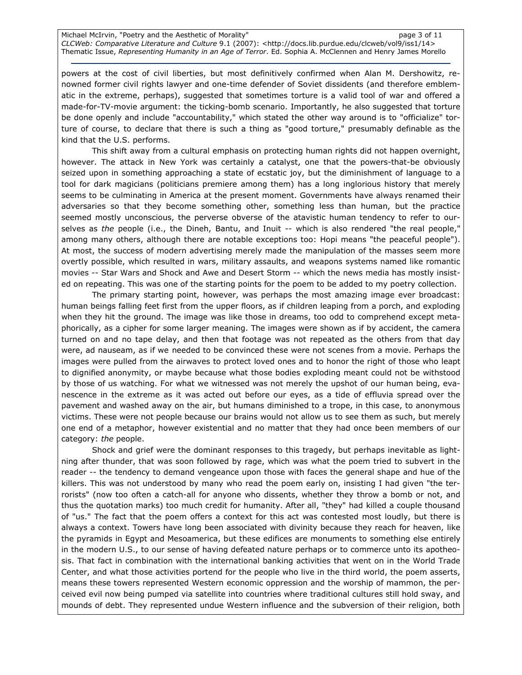Michael McIrvin, "Poetry and the Aesthetic of Morality" example 2 and the state of the page 3 of 11 CLCWeb: Comparative Literature and Culture 9.1 (2007): <http://docs.lib.purdue.edu/clcweb/vol9/iss1/14> Thematic Issue, Representing Humanity in an Age of Terror. Ed. Sophia A. McClennen and Henry James Morello

powers at the cost of civil liberties, but most definitively confirmed when Alan M. Dershowitz, renowned former civil rights lawyer and one-time defender of Soviet dissidents (and therefore emblematic in the extreme, perhaps), suggested that sometimes torture is a valid tool of war and offered a made-for-TV-movie argument: the ticking-bomb scenario. Importantly, he also suggested that torture be done openly and include "accountability," which stated the other way around is to "officialize" torture of course, to declare that there is such a thing as "good torture," presumably definable as the kind that the U.S. performs.

This shift away from a cultural emphasis on protecting human rights did not happen overnight, however. The attack in New York was certainly a catalyst, one that the powers-that-be obviously seized upon in something approaching a state of ecstatic joy, but the diminishment of language to a tool for dark magicians (politicians premiere among them) has a long inglorious history that merely seems to be culminating in America at the present moment. Governments have always renamed their adversaries so that they become something other, something less than human, but the practice seemed mostly unconscious, the perverse obverse of the atavistic human tendency to refer to ourselves as the people (i.e., the Dineh, Bantu, and Inuit -- which is also rendered "the real people," among many others, although there are notable exceptions too: Hopi means "the peaceful people"). At most, the success of modern advertising merely made the manipulation of the masses seem more overtly possible, which resulted in wars, military assaults, and weapons systems named like romantic movies -- Star Wars and Shock and Awe and Desert Storm -- which the news media has mostly insisted on repeating. This was one of the starting points for the poem to be added to my poetry collection.

The primary starting point, however, was perhaps the most amazing image ever broadcast: human beings falling feet first from the upper floors, as if children leaping from a porch, and exploding when they hit the ground. The image was like those in dreams, too odd to comprehend except metaphorically, as a cipher for some larger meaning. The images were shown as if by accident, the camera turned on and no tape delay, and then that footage was not repeated as the others from that day were, ad nauseam, as if we needed to be convinced these were not scenes from a movie. Perhaps the images were pulled from the airwaves to protect loved ones and to honor the right of those who leapt to dignified anonymity, or maybe because what those bodies exploding meant could not be withstood by those of us watching. For what we witnessed was not merely the upshot of our human being, evanescence in the extreme as it was acted out before our eyes, as a tide of effluvia spread over the pavement and washed away on the air, but humans diminished to a trope, in this case, to anonymous victims. These were not people because our brains would not allow us to see them as such, but merely one end of a metaphor, however existential and no matter that they had once been members of our category: the people.

Shock and grief were the dominant responses to this tragedy, but perhaps inevitable as lightning after thunder, that was soon followed by rage, which was what the poem tried to subvert in the reader -- the tendency to demand vengeance upon those with faces the general shape and hue of the killers. This was not understood by many who read the poem early on, insisting I had given "the terrorists" (now too often a catch-all for anyone who dissents, whether they throw a bomb or not, and thus the quotation marks) too much credit for humanity. After all, "they" had killed a couple thousand of "us." The fact that the poem offers a context for this act was contested most loudly, but there is always a context. Towers have long been associated with divinity because they reach for heaven, like the pyramids in Egypt and Mesoamerica, but these edifices are monuments to something else entirely in the modern U.S., to our sense of having defeated nature perhaps or to commerce unto its apotheosis. That fact in combination with the international banking activities that went on in the World Trade Center, and what those activities portend for the people who live in the third world, the poem asserts, means these towers represented Western economic oppression and the worship of mammon, the perceived evil now being pumped via satellite into countries where traditional cultures still hold sway, and mounds of debt. They represented undue Western influence and the subversion of their religion, both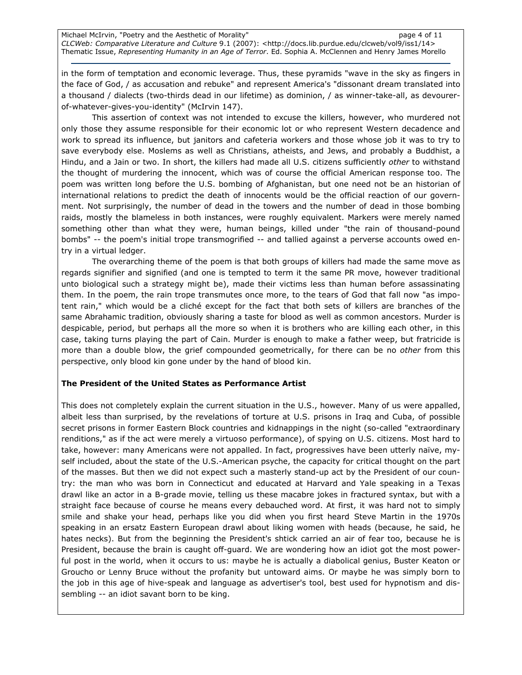Michael McIrvin, "Poetry and the Aesthetic of Morality" page 4 of 11 CLCWeb: Comparative Literature and Culture 9.1 (2007): <http://docs.lib.purdue.edu/clcweb/vol9/iss1/14> Thematic Issue, Representing Humanity in an Age of Terror. Ed. Sophia A. McClennen and Henry James Morello

in the form of temptation and economic leverage. Thus, these pyramids "wave in the sky as fingers in the face of God, / as accusation and rebuke" and represent America's "dissonant dream translated into a thousand / dialects (two-thirds dead in our lifetime) as dominion, / as winner-take-all, as devourerof-whatever-gives-you-identity" (McIrvin 147).

This assertion of context was not intended to excuse the killers, however, who murdered not only those they assume responsible for their economic lot or who represent Western decadence and work to spread its influence, but janitors and cafeteria workers and those whose job it was to try to save everybody else. Moslems as well as Christians, atheists, and Jews, and probably a Buddhist, a Hindu, and a Jain or two. In short, the killers had made all U.S. citizens sufficiently other to withstand the thought of murdering the innocent, which was of course the official American response too. The poem was written long before the U.S. bombing of Afghanistan, but one need not be an historian of international relations to predict the death of innocents would be the official reaction of our government. Not surprisingly, the number of dead in the towers and the number of dead in those bombing raids, mostly the blameless in both instances, were roughly equivalent. Markers were merely named something other than what they were, human beings, killed under "the rain of thousand-pound bombs" -- the poem's initial trope transmogrified -- and tallied against a perverse accounts owed entry in a virtual ledger.

The overarching theme of the poem is that both groups of killers had made the same move as regards signifier and signified (and one is tempted to term it the same PR move, however traditional unto biological such a strategy might be), made their victims less than human before assassinating them. In the poem, the rain trope transmutes once more, to the tears of God that fall now "as impotent rain," which would be a cliché except for the fact that both sets of killers are branches of the same Abrahamic tradition, obviously sharing a taste for blood as well as common ancestors. Murder is despicable, period, but perhaps all the more so when it is brothers who are killing each other, in this case, taking turns playing the part of Cain. Murder is enough to make a father weep, but fratricide is more than a double blow, the grief compounded geometrically, for there can be no other from this perspective, only blood kin gone under by the hand of blood kin.

#### The President of the United States as Performance Artist

This does not completely explain the current situation in the U.S., however. Many of us were appalled, albeit less than surprised, by the revelations of torture at U.S. prisons in Iraq and Cuba, of possible secret prisons in former Eastern Block countries and kidnappings in the night (so-called "extraordinary renditions," as if the act were merely a virtuoso performance), of spying on U.S. citizens. Most hard to take, however: many Americans were not appalled. In fact, progressives have been utterly naïve, myself included, about the state of the U.S.-American psyche, the capacity for critical thought on the part of the masses. But then we did not expect such a masterly stand-up act by the President of our country: the man who was born in Connecticut and educated at Harvard and Yale speaking in a Texas drawl like an actor in a B-grade movie, telling us these macabre jokes in fractured syntax, but with a straight face because of course he means every debauched word. At first, it was hard not to simply smile and shake your head, perhaps like you did when you first heard Steve Martin in the 1970s speaking in an ersatz Eastern European drawl about liking women with heads (because, he said, he hates necks). But from the beginning the President's shtick carried an air of fear too, because he is President, because the brain is caught off-guard. We are wondering how an idiot got the most powerful post in the world, when it occurs to us: maybe he is actually a diabolical genius, Buster Keaton or Groucho or Lenny Bruce without the profanity but untoward aims. Or maybe he was simply born to the job in this age of hive-speak and language as advertiser's tool, best used for hypnotism and dissembling -- an idiot savant born to be king.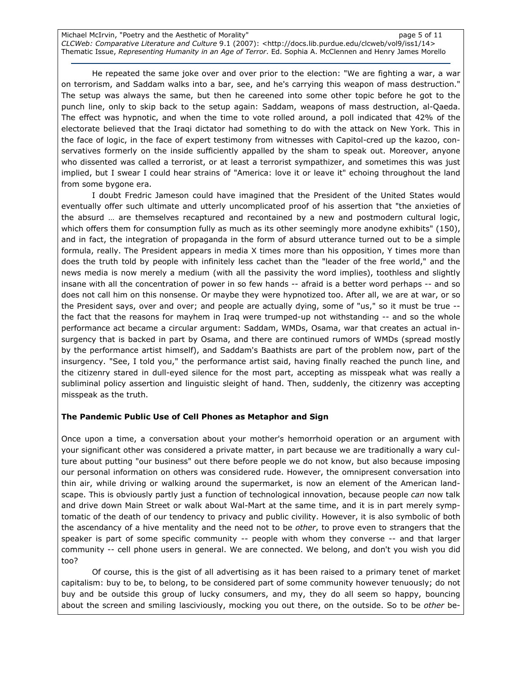Michael McIrvin, "Poetry and the Aesthetic of Morality" example 20 and the Solid Page 5 of 11 CLCWeb: Comparative Literature and Culture 9.1 (2007): <http://docs.lib.purdue.edu/clcweb/vol9/iss1/14> Thematic Issue, Representing Humanity in an Age of Terror. Ed. Sophia A. McClennen and Henry James Morello

He repeated the same joke over and over prior to the election: "We are fighting a war, a war on terrorism, and Saddam walks into a bar, see, and he's carrying this weapon of mass destruction." The setup was always the same, but then he careened into some other topic before he got to the punch line, only to skip back to the setup again: Saddam, weapons of mass destruction, al-Qaeda. The effect was hypnotic, and when the time to vote rolled around, a poll indicated that 42% of the electorate believed that the Iraqi dictator had something to do with the attack on New York. This in the face of logic, in the face of expert testimony from witnesses with Capitol-cred up the kazoo, conservatives formerly on the inside sufficiently appalled by the sham to speak out. Moreover, anyone who dissented was called a terrorist, or at least a terrorist sympathizer, and sometimes this was just implied, but I swear I could hear strains of "America: love it or leave it" echoing throughout the land from some bygone era.

I doubt Fredric Jameson could have imagined that the President of the United States would eventually offer such ultimate and utterly uncomplicated proof of his assertion that "the anxieties of the absurd … are themselves recaptured and recontained by a new and postmodern cultural logic, which offers them for consumption fully as much as its other seemingly more anodyne exhibits" (150), and in fact, the integration of propaganda in the form of absurd utterance turned out to be a simple formula, really. The President appears in media X times more than his opposition, Y times more than does the truth told by people with infinitely less cachet than the "leader of the free world," and the news media is now merely a medium (with all the passivity the word implies), toothless and slightly insane with all the concentration of power in so few hands -- afraid is a better word perhaps -- and so does not call him on this nonsense. Or maybe they were hypnotized too. After all, we are at war, or so the President says, over and over; and people are actually dying, some of "us," so it must be true - the fact that the reasons for mayhem in Iraq were trumped-up not withstanding -- and so the whole performance act became a circular argument: Saddam, WMDs, Osama, war that creates an actual insurgency that is backed in part by Osama, and there are continued rumors of WMDs (spread mostly by the performance artist himself), and Saddam's Baathists are part of the problem now, part of the insurgency. "See, I told you," the performance artist said, having finally reached the punch line, and the citizenry stared in dull-eyed silence for the most part, accepting as misspeak what was really a subliminal policy assertion and linguistic sleight of hand. Then, suddenly, the citizenry was accepting misspeak as the truth.

#### The Pandemic Public Use of Cell Phones as Metaphor and Sign

Once upon a time, a conversation about your mother's hemorrhoid operation or an argument with your significant other was considered a private matter, in part because we are traditionally a wary culture about putting "our business" out there before people we do not know, but also because imposing our personal information on others was considered rude. However, the omnipresent conversation into thin air, while driving or walking around the supermarket, is now an element of the American landscape. This is obviously partly just a function of technological innovation, because people can now talk and drive down Main Street or walk about Wal-Mart at the same time, and it is in part merely symptomatic of the death of our tendency to privacy and public civility. However, it is also symbolic of both the ascendancy of a hive mentality and the need not to be other, to prove even to strangers that the speaker is part of some specific community -- people with whom they converse -- and that larger community -- cell phone users in general. We are connected. We belong, and don't you wish you did too?

 Of course, this is the gist of all advertising as it has been raised to a primary tenet of market capitalism: buy to be, to belong, to be considered part of some community however tenuously; do not buy and be outside this group of lucky consumers, and my, they do all seem so happy, bouncing about the screen and smiling lasciviously, mocking you out there, on the outside. So to be other be-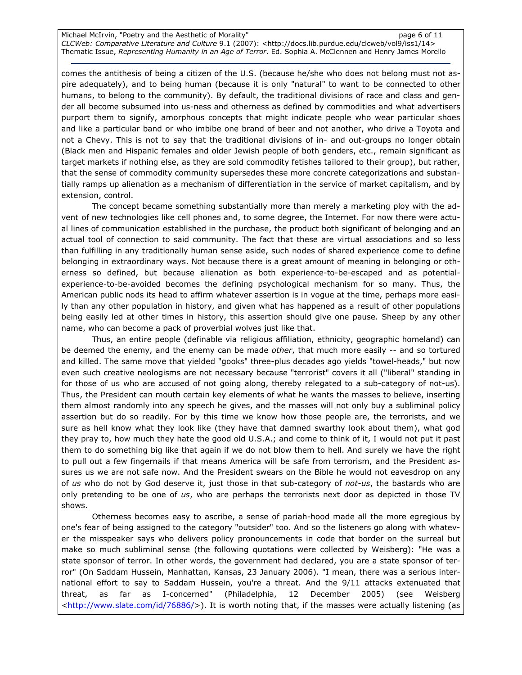Michael McIrvin, "Poetry and the Aesthetic of Morality" example and the state of 11 page 6 of 11 CLCWeb: Comparative Literature and Culture 9.1 (2007): <http://docs.lib.purdue.edu/clcweb/vol9/iss1/14> Thematic Issue, Representing Humanity in an Age of Terror. Ed. Sophia A. McClennen and Henry James Morello

comes the antithesis of being a citizen of the U.S. (because he/she who does not belong must not aspire adequately), and to being human (because it is only "natural" to want to be connected to other humans, to belong to the community). By default, the traditional divisions of race and class and gender all become subsumed into us-ness and otherness as defined by commodities and what advertisers purport them to signify, amorphous concepts that might indicate people who wear particular shoes and like a particular band or who imbibe one brand of beer and not another, who drive a Toyota and not a Chevy. This is not to say that the traditional divisions of in- and out-groups no longer obtain (Black men and Hispanic females and older Jewish people of both genders, etc., remain significant as target markets if nothing else, as they are sold commodity fetishes tailored to their group), but rather, that the sense of commodity community supersedes these more concrete categorizations and substantially ramps up alienation as a mechanism of differentiation in the service of market capitalism, and by extension, control.

The concept became something substantially more than merely a marketing ploy with the advent of new technologies like cell phones and, to some degree, the Internet. For now there were actual lines of communication established in the purchase, the product both significant of belonging and an actual tool of connection to said community. The fact that these are virtual associations and so less than fulfilling in any traditionally human sense aside, such nodes of shared experience come to define belonging in extraordinary ways. Not because there is a great amount of meaning in belonging or otherness so defined, but because alienation as both experience-to-be-escaped and as potentialexperience-to-be-avoided becomes the defining psychological mechanism for so many. Thus, the American public nods its head to affirm whatever assertion is in vogue at the time, perhaps more easily than any other population in history, and given what has happened as a result of other populations being easily led at other times in history, this assertion should give one pause. Sheep by any other name, who can become a pack of proverbial wolves just like that.

Thus, an entire people (definable via religious affiliation, ethnicity, geographic homeland) can be deemed the enemy, and the enemy can be made other, that much more easily -- and so tortured and killed. The same move that yielded "gooks" three-plus decades ago yields "towel-heads," but now even such creative neologisms are not necessary because "terrorist" covers it all ("liberal" standing in for those of us who are accused of not going along, thereby relegated to a sub-category of not-us). Thus, the President can mouth certain key elements of what he wants the masses to believe, inserting them almost randomly into any speech he gives, and the masses will not only buy a subliminal policy assertion but do so readily. For by this time we know how those people are, the terrorists, and we sure as hell know what they look like (they have that damned swarthy look about them), what god they pray to, how much they hate the good old U.S.A.; and come to think of it, I would not put it past them to do something big like that again if we do not blow them to hell. And surely we have the right to pull out a few fingernails if that means America will be safe from terrorism, and the President assures us we are not safe now. And the President swears on the Bible he would not eavesdrop on any of us who do not by God deserve it, just those in that sub-category of not-us, the bastards who are only pretending to be one of us, who are perhaps the terrorists next door as depicted in those TV shows.

Otherness becomes easy to ascribe, a sense of pariah-hood made all the more egregious by one's fear of being assigned to the category "outsider" too. And so the listeners go along with whatever the misspeaker says who delivers policy pronouncements in code that border on the surreal but make so much subliminal sense (the following quotations were collected by Weisberg): "He was a state sponsor of terror. In other words, the government had declared, you are a state sponsor of terror" (On Saddam Hussein, Manhattan, Kansas, 23 January 2006). "I mean, there was a serious international effort to say to Saddam Hussein, you're a threat. And the 9/11 attacks extenuated that threat, as far as I-concerned" (Philadelphia, 12 December 2005) (see Weisberg <http://www.slate.com/id/76886/>). It is worth noting that, if the masses were actually listening (as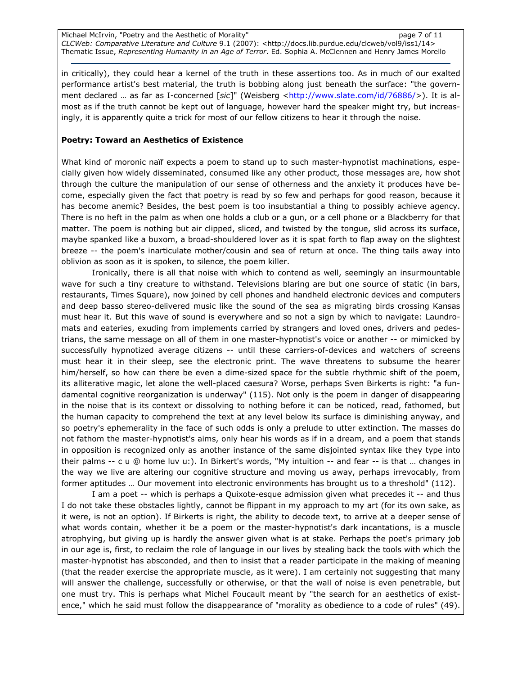Michael McIrvin, "Poetry and the Aesthetic of Morality" example 2 and the page 7 of 11 CLCWeb: Comparative Literature and Culture 9.1 (2007): <http://docs.lib.purdue.edu/clcweb/vol9/iss1/14> Thematic Issue, Representing Humanity in an Age of Terror. Ed. Sophia A. McClennen and Henry James Morello

in critically), they could hear a kernel of the truth in these assertions too. As in much of our exalted performance artist's best material, the truth is bobbing along just beneath the surface: "the government declared ... as far as I-concerned [sic]" (Weisberg <http://www.slate.com/id/76886/>). It is almost as if the truth cannot be kept out of language, however hard the speaker might try, but increasingly, it is apparently quite a trick for most of our fellow citizens to hear it through the noise.

## Poetry: Toward an Aesthetics of Existence

What kind of moronic naïf expects a poem to stand up to such master-hypnotist machinations, especially given how widely disseminated, consumed like any other product, those messages are, how shot through the culture the manipulation of our sense of otherness and the anxiety it produces have become, especially given the fact that poetry is read by so few and perhaps for good reason, because it has become anemic? Besides, the best poem is too insubstantial a thing to possibly achieve agency. There is no heft in the palm as when one holds a club or a gun, or a cell phone or a Blackberry for that matter. The poem is nothing but air clipped, sliced, and twisted by the tongue, slid across its surface, maybe spanked like a buxom, a broad-shouldered lover as it is spat forth to flap away on the slightest breeze -- the poem's inarticulate mother/cousin and sea of return at once. The thing tails away into oblivion as soon as it is spoken, to silence, the poem killer.

Ironically, there is all that noise with which to contend as well, seemingly an insurmountable wave for such a tiny creature to withstand. Televisions blaring are but one source of static (in bars, restaurants, Times Square), now joined by cell phones and handheld electronic devices and computers and deep basso stereo-delivered music like the sound of the sea as migrating birds crossing Kansas must hear it. But this wave of sound is everywhere and so not a sign by which to navigate: Laundromats and eateries, exuding from implements carried by strangers and loved ones, drivers and pedestrians, the same message on all of them in one master-hypnotist's voice or another -- or mimicked by successfully hypnotized average citizens -- until these carriers-of-devices and watchers of screens must hear it in their sleep, see the electronic print. The wave threatens to subsume the hearer him/herself, so how can there be even a dime-sized space for the subtle rhythmic shift of the poem, its alliterative magic, let alone the well-placed caesura? Worse, perhaps Sven Birkerts is right: "a fundamental cognitive reorganization is underway" (115). Not only is the poem in danger of disappearing in the noise that is its context or dissolving to nothing before it can be noticed, read, fathomed, but the human capacity to comprehend the text at any level below its surface is diminishing anyway, and so poetry's ephemerality in the face of such odds is only a prelude to utter extinction. The masses do not fathom the master-hypnotist's aims, only hear his words as if in a dream, and a poem that stands in opposition is recognized only as another instance of the same disjointed syntax like they type into their palms -- c u @ home luv u:). In Birkert's words, "My intuition -- and fear -- is that … changes in the way we live are altering our cognitive structure and moving us away, perhaps irrevocably, from former aptitudes … Our movement into electronic environments has brought us to a threshold" (112).

I am a poet -- which is perhaps a Quixote-esque admission given what precedes it -- and thus I do not take these obstacles lightly, cannot be flippant in my approach to my art (for its own sake, as it were, is not an option). If Birkerts is right, the ability to decode text, to arrive at a deeper sense of what words contain, whether it be a poem or the master-hypnotist's dark incantations, is a muscle atrophying, but giving up is hardly the answer given what is at stake. Perhaps the poet's primary job in our age is, first, to reclaim the role of language in our lives by stealing back the tools with which the master-hypnotist has absconded, and then to insist that a reader participate in the making of meaning (that the reader exercise the appropriate muscle, as it were). I am certainly not suggesting that many will answer the challenge, successfully or otherwise, or that the wall of noise is even penetrable, but one must try. This is perhaps what Michel Foucault meant by "the search for an aesthetics of existence," which he said must follow the disappearance of "morality as obedience to a code of rules" (49).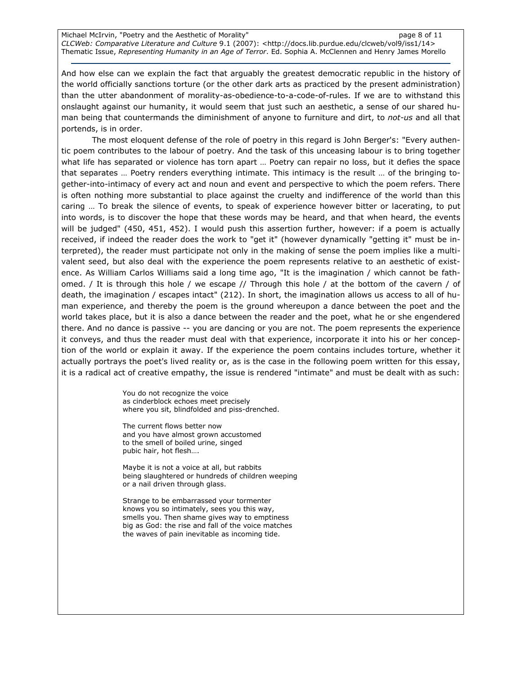Michael McIrvin, "Poetry and the Aesthetic of Morality" example and the page 8 of 11 CLCWeb: Comparative Literature and Culture 9.1 (2007): <http://docs.lib.purdue.edu/clcweb/vol9/iss1/14> Thematic Issue, Representing Humanity in an Age of Terror. Ed. Sophia A. McClennen and Henry James Morello

And how else can we explain the fact that arguably the greatest democratic republic in the history of the world officially sanctions torture (or the other dark arts as practiced by the present administration) than the utter abandonment of morality-as-obedience-to-a-code-of-rules. If we are to withstand this onslaught against our humanity, it would seem that just such an aesthetic, a sense of our shared human being that countermands the diminishment of anyone to furniture and dirt, to not-us and all that portends, is in order.

The most eloquent defense of the role of poetry in this regard is John Berger's: "Every authentic poem contributes to the labour of poetry. And the task of this unceasing labour is to bring together what life has separated or violence has torn apart … Poetry can repair no loss, but it defies the space that separates … Poetry renders everything intimate. This intimacy is the result … of the bringing together-into-intimacy of every act and noun and event and perspective to which the poem refers. There is often nothing more substantial to place against the cruelty and indifference of the world than this caring … To break the silence of events, to speak of experience however bitter or lacerating, to put into words, is to discover the hope that these words may be heard, and that when heard, the events will be judged" (450, 451, 452). I would push this assertion further, however: if a poem is actually received, if indeed the reader does the work to "get it" (however dynamically "getting it" must be interpreted), the reader must participate not only in the making of sense the poem implies like a multivalent seed, but also deal with the experience the poem represents relative to an aesthetic of existence. As William Carlos Williams said a long time ago, "It is the imagination / which cannot be fathomed. / It is through this hole / we escape // Through this hole / at the bottom of the cavern / of death, the imagination / escapes intact" (212). In short, the imagination allows us access to all of human experience, and thereby the poem is the ground whereupon a dance between the poet and the world takes place, but it is also a dance between the reader and the poet, what he or she engendered there. And no dance is passive -- you are dancing or you are not. The poem represents the experience it conveys, and thus the reader must deal with that experience, incorporate it into his or her conception of the world or explain it away. If the experience the poem contains includes torture, whether it actually portrays the poet's lived reality or, as is the case in the following poem written for this essay, it is a radical act of creative empathy, the issue is rendered "intimate" and must be dealt with as such:

> You do not recognize the voice as cinderblock echoes meet precisely where you sit, blindfolded and piss-drenched.

The current flows better now and you have almost grown accustomed to the smell of boiled urine, singed pubic hair, hot flesh….

Maybe it is not a voice at all, but rabbits being slaughtered or hundreds of children weeping or a nail driven through glass.

Strange to be embarrassed your tormenter knows you so intimately, sees you this way, smells you. Then shame gives way to emptiness big as God: the rise and fall of the voice matches the waves of pain inevitable as incoming tide.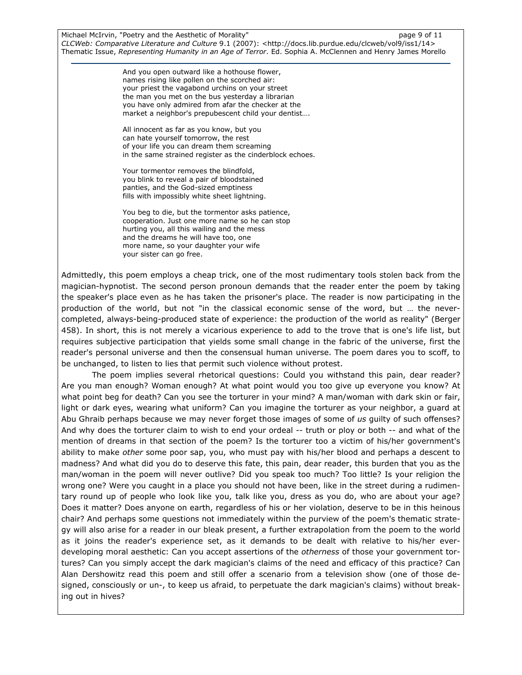Michael McIrvin, "Poetry and the Aesthetic of Morality" example the page 9 of 11 CLCWeb: Comparative Literature and Culture 9.1 (2007): <http://docs.lib.purdue.edu/clcweb/vol9/iss1/14> Thematic Issue, Representing Humanity in an Age of Terror. Ed. Sophia A. McClennen and Henry James Morello

> And you open outward like a hothouse flower, names rising like pollen on the scorched air: your priest the vagabond urchins on your street the man you met on the bus yesterday a librarian you have only admired from afar the checker at the market a neighbor's prepubescent child your dentist….

All innocent as far as you know, but you can hate yourself tomorrow, the rest of your life you can dream them screaming in the same strained register as the cinderblock echoes.

Your tormentor removes the blindfold, you blink to reveal a pair of bloodstained panties, and the God-sized emptiness fills with impossibly white sheet lightning.

You beg to die, but the tormentor asks patience, cooperation. Just one more name so he can stop hurting you, all this wailing and the mess and the dreams he will have too, one more name, so your daughter your wife your sister can go free.

Admittedly, this poem employs a cheap trick, one of the most rudimentary tools stolen back from the magician-hypnotist. The second person pronoun demands that the reader enter the poem by taking the speaker's place even as he has taken the prisoner's place. The reader is now participating in the production of the world, but not "in the classical economic sense of the word, but … the nevercompleted, always-being-produced state of experience: the production of the world as reality" (Berger 458). In short, this is not merely a vicarious experience to add to the trove that is one's life list, but requires subjective participation that yields some small change in the fabric of the universe, first the reader's personal universe and then the consensual human universe. The poem dares you to scoff, to be unchanged, to listen to lies that permit such violence without protest.

The poem implies several rhetorical questions: Could you withstand this pain, dear reader? Are you man enough? Woman enough? At what point would you too give up everyone you know? At what point beg for death? Can you see the torturer in your mind? A man/woman with dark skin or fair, light or dark eyes, wearing what uniform? Can you imagine the torturer as your neighbor, a guard at Abu Ghraib perhaps because we may never forget those images of some of us quilty of such offenses? And why does the torturer claim to wish to end your ordeal -- truth or ploy or both -- and what of the mention of dreams in that section of the poem? Is the torturer too a victim of his/her government's ability to make other some poor sap, you, who must pay with his/her blood and perhaps a descent to madness? And what did you do to deserve this fate, this pain, dear reader, this burden that you as the man/woman in the poem will never outlive? Did you speak too much? Too little? Is your religion the wrong one? Were you caught in a place you should not have been, like in the street during a rudimentary round up of people who look like you, talk like you, dress as you do, who are about your age? Does it matter? Does anyone on earth, regardless of his or her violation, deserve to be in this heinous chair? And perhaps some questions not immediately within the purview of the poem's thematic strategy will also arise for a reader in our bleak present, a further extrapolation from the poem to the world as it joins the reader's experience set, as it demands to be dealt with relative to his/her everdeveloping moral aesthetic: Can you accept assertions of the *otherness* of those your government tortures? Can you simply accept the dark magician's claims of the need and efficacy of this practice? Can Alan Dershowitz read this poem and still offer a scenario from a television show (one of those designed, consciously or un-, to keep us afraid, to perpetuate the dark magician's claims) without breaking out in hives?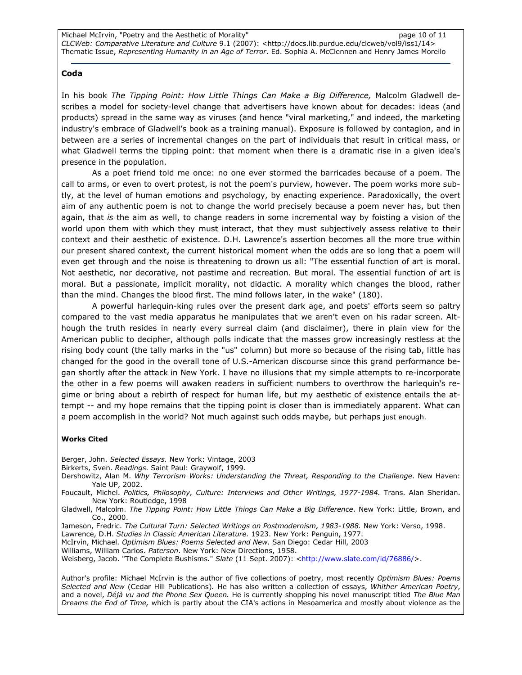### Coda

In his book The Tipping Point: How Little Things Can Make a Big Difference, Malcolm Gladwell describes a model for society-level change that advertisers have known about for decades: ideas (and products) spread in the same way as viruses (and hence "viral marketing," and indeed, the marketing industry's embrace of Gladwell's book as a training manual). Exposure is followed by contagion, and in between are a series of incremental changes on the part of individuals that result in critical mass, or what Gladwell terms the tipping point: that moment when there is a dramatic rise in a given idea's presence in the population.

As a poet friend told me once: no one ever stormed the barricades because of a poem. The call to arms, or even to overt protest, is not the poem's purview, however. The poem works more subtly, at the level of human emotions and psychology, by enacting experience. Paradoxically, the overt aim of any authentic poem is not to change the world precisely because a poem never has, but then again, that is the aim as well, to change readers in some incremental way by foisting a vision of the world upon them with which they must interact, that they must subjectively assess relative to their context and their aesthetic of existence. D.H. Lawrence's assertion becomes all the more true within our present shared context, the current historical moment when the odds are so long that a poem will even get through and the noise is threatening to drown us all: "The essential function of art is moral. Not aesthetic, nor decorative, not pastime and recreation. But moral. The essential function of art is moral. But a passionate, implicit morality, not didactic. A morality which changes the blood, rather than the mind. Changes the blood first. The mind follows later, in the wake" (180).

A powerful harlequin-king rules over the present dark age, and poets' efforts seem so paltry compared to the vast media apparatus he manipulates that we aren't even on his radar screen. Although the truth resides in nearly every surreal claim (and disclaimer), there in plain view for the American public to decipher, although polls indicate that the masses grow increasingly restless at the rising body count (the tally marks in the "us" column) but more so because of the rising tab, little has changed for the good in the overall tone of U.S.-American discourse since this grand performance began shortly after the attack in New York. I have no illusions that my simple attempts to re-incorporate the other in a few poems will awaken readers in sufficient numbers to overthrow the harlequin's regime or bring about a rebirth of respect for human life, but my aesthetic of existence entails the attempt -- and my hope remains that the tipping point is closer than is immediately apparent. What can a poem accomplish in the world? Not much against such odds maybe, but perhaps just enough.

#### Works Cited

Berger, John. Selected Essays. New York: Vintage, 2003

Birkerts, Sven. Readings. Saint Paul: Graywolf, 1999.

Dershowitz, Alan M. Why Terrorism Works: Understanding the Threat, Responding to the Challenge. New Haven: Yale UP, 2002.

Foucault, Michel. Politics, Philosophy, Culture: Interviews and Other Writings, 1977-1984. Trans. Alan Sheridan. New York: Routledge, 1998

Gladwell, Malcolm. The Tipping Point: How Little Things Can Make a Big Difference. New York: Little, Brown, and Co., 2000.

Jameson, Fredric. The Cultural Turn: Selected Writings on Postmodernism, 1983-1988. New York: Verso, 1998.

Lawrence, D.H. Studies in Classic American Literature. 1923. New York: Penguin, 1977.

McIrvin, Michael. Optimism Blues: Poems Selected and New. San Diego: Cedar Hill, 2003

Williams, William Carlos. Paterson. New York: New Directions, 1958.

Weisberg, Jacob. "The Complete Bushisms." Slate (11 Sept. 2007): <http://www.slate.com/id/76886/>.

Author's profile: Michael McIrvin is the author of five collections of poetry, most recently Optimism Blues: Poems Selected and New (Cedar Hill Publications). He has also written a collection of essays, Whither American Poetry, and a novel, Déjà vu and the Phone Sex Queen. He is currently shopping his novel manuscript titled The Blue Man Dreams the End of Time, which is partly about the CIA's actions in Mesoamerica and mostly about violence as the